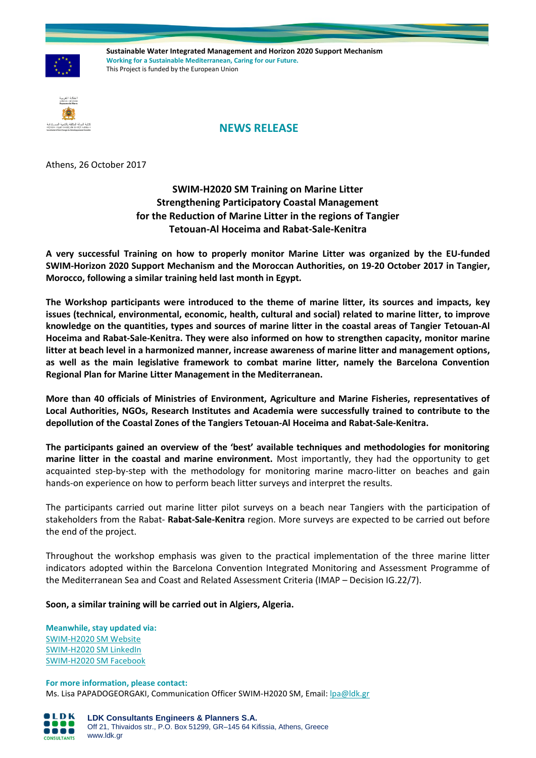

**Sustainable Water Integrated Management and Horizon 2020 Support Mechanism Working for a Sustainable Mediterranean, Caring for our Future.**  This Project is funded by the European Union



## **NEWS RELEASE**

Athens, 26 October 2017

**SWIM-H2020 SM Training on Marine Litter Strengthening Participatory Coastal Management for the Reduction of Marine Litter in the regions of Tangier Tetouan-Al Hoceima and Rabat-Sale-Kenitra**

**A very successful Training on how to properly monitor Marine Litter was organized by the EU-funded SWIM-Horizon 2020 Support Mechanism and the Moroccan Authorities, on 19-20 October 2017 in Tangier, Morocco, following a similar training held last month in Egypt.**

**The Workshop participants were introduced to the theme of marine litter, its sources and impacts, key issues (technical, environmental, economic, health, cultural and social) related to marine litter, to improve knowledge on the quantities, types and sources of marine litter in the coastal areas of Tangier Tetouan-Al Hoceima and Rabat-Sale-Kenitra. They were also informed on how to strengthen capacity, monitor marine litter at beach level in a harmonized manner, increase awareness of marine litter and management options, as well as the main legislative framework to combat marine litter, namely the Barcelona Convention Regional Plan for Marine Litter Management in the Mediterranean.** 

**More than 40 officials of Ministries of Environment, Agriculture and Marine Fisheries, representatives of Local Authorities, NGOs, Research Institutes and Academia were successfully trained to contribute to the depollution of the Coastal Zones of the Tangiers Tetouan-Al Hoceima and Rabat-Sale-Kenitra.**

**The participants gained an overview of the 'best' available techniques and methodologies for monitoring marine litter in the coastal and marine environment.** Most importantly, they had the opportunity to get acquainted step-by-step with the methodology for monitoring marine macro-litter on beaches and gain hands-on experience on how to perform beach litter surveys and interpret the results.

The participants carried out marine litter pilot surveys on a beach near Tangiers with the participation of stakeholders from the Rabat- **Rabat-Sale-Kenitra** region. More surveys are expected to be carried out before the end of the project.

Throughout the workshop emphasis was given to the practical implementation of the three marine litter indicators adopted within the Barcelona Convention Integrated Monitoring and Assessment Programme of the Mediterranean Sea and Coast and Related Assessment Criteria (IMAP – Decision IG.22/7).

**Soon, a similar training will be carried out in Algiers, Algeria.**

**Meanwhile, stay updated via:** [SWIM-H2020 SM Website](http://www.swim-h2020.eu/) [SWIM-H2020 SM LinkedIn](https://www.linkedin.com/company/swim-h2020-sm-project?trk=top_nav_home) [SWIM-H2020 SM Facebook](https://www.facebook.com/Swim-H2020-SM-Project-517590438434444/)

**For more information, please contact:**  Ms. Lisa PAPADOGEORGAKI, Communication Officer SWIM-H2020 SM, Email[: lpa@ldk.gr](mailto:lpa@ldk.gr)